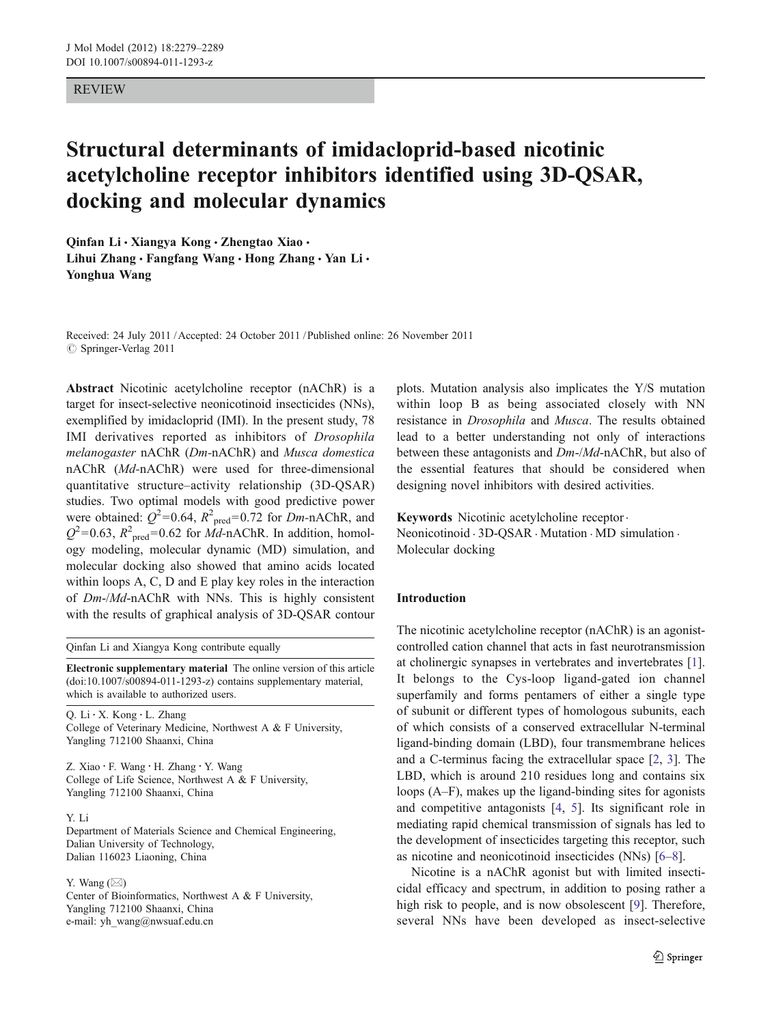## REVIEW

# Structural determinants of imidacloprid-based nicotinic acetylcholine receptor inhibitors identified using 3D-QSAR, docking and molecular dynamics

Qinfan Li · Xiangya Kong · Zhengtao Xiao · Lihui Zhang · Fangfang Wang · Hong Zhang · Yan Li · Yonghua Wang

Received: 24 July 2011 /Accepted: 24 October 2011 / Published online: 26 November 2011  $\circ$  Springer-Verlag 2011

Abstract Nicotinic acetylcholine receptor (nAChR) is a target for insect-selective neonicotinoid insecticides (NNs), exemplified by imidacloprid (IMI). In the present study, 78 IMI derivatives reported as inhibitors of Drosophila melanogaster nAChR (Dm-nAChR) and Musca domestica nAChR (Md-nAChR) were used for three-dimensional quantitative structure–activity relationship (3D-QSAR) studies. Two optimal models with good predictive power were obtained:  $Q^2$ =0.64,  $R^2_{\text{pred}}$ =0.72 for Dm-nAChR, and  $Q^2$ =0.63,  $R^2_{\text{pred}}$ =0.62 for  $\dot{Md}$ -nAChR. In addition, homology modeling, molecular dynamic (MD) simulation, and molecular docking also showed that amino acids located within loops A, C, D and E play key roles in the interaction of Dm-/Md-nAChR with NNs. This is highly consistent with the results of graphical analysis of 3D-QSAR contour

Qinfan Li and Xiangya Kong contribute equally

Electronic supplementary material The online version of this article (doi:[10.1007/s00894-011-1293-z](http://dx.doi.org/10.1007/s00894-011-1293-z)) contains supplementary material, which is available to authorized users.

Q. Li : X. Kong : L. Zhang College of Veterinary Medicine, Northwest A & F University, Yangling 712100 Shaanxi, China

Z. Xiao : F. Wang : H. Zhang : Y. Wang College of Life Science, Northwest A & F University, Yangling 712100 Shaanxi, China

# Y. Li

Department of Materials Science and Chemical Engineering, Dalian University of Technology, Dalian 116023 Liaoning, China

Y. Wang  $(\boxtimes)$ 

Center of Bioinformatics, Northwest A & F University, Yangling 712100 Shaanxi, China e-mail: yh\_wang@nwsuaf.edu.cn

plots. Mutation analysis also implicates the Y/S mutation within loop B as being associated closely with NN resistance in Drosophila and Musca. The results obtained lead to a better understanding not only of interactions between these antagonists and Dm-/Md-nAChR, but also of the essential features that should be considered when designing novel inhibitors with desired activities.

Keywords Nicotinic acetylcholine receptor. Neonicotinoid . 3D-QSAR . Mutation . MD simulation . Molecular docking

## Introduction

The nicotinic acetylcholine receptor (nAChR) is an agonistcontrolled cation channel that acts in fast neurotransmission at cholinergic synapses in vertebrates and invertebrates [[1\]](#page-9-0). It belongs to the Cys-loop ligand-gated ion channel superfamily and forms pentamers of either a single type of subunit or different types of homologous subunits, each of which consists of a conserved extracellular N-terminal ligand-binding domain (LBD), four transmembrane helices and a C-terminus facing the extracellular space [[2,](#page-9-0) [3\]](#page-9-0). The LBD, which is around 210 residues long and contains six loops (A–F), makes up the ligand-binding sites for agonists and competitive antagonists [[4,](#page-9-0) [5\]](#page-9-0). Its significant role in mediating rapid chemical transmission of signals has led to the development of insecticides targeting this receptor, such as nicotine and neonicotinoid insecticides (NNs) [[6](#page-10-0)–[8\]](#page-10-0).

Nicotine is a nAChR agonist but with limited insecticidal efficacy and spectrum, in addition to posing rather a high risk to people, and is now obsolescent [[9](#page-10-0)]. Therefore, several NNs have been developed as insect-selective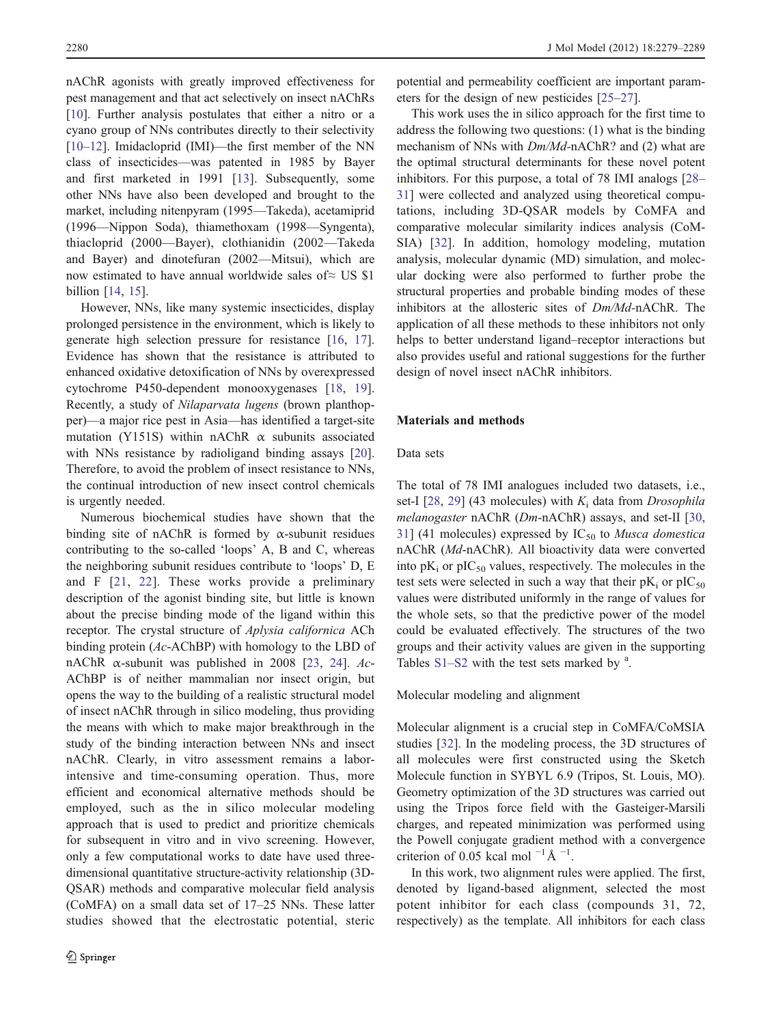nAChR agonists with greatly improved effectiveness for pest management and that act selectively on insect nAChRs [\[10](#page-10-0)]. Further analysis postulates that either a nitro or a cyano group of NNs contributes directly to their selectivity [\[10](#page-10-0)–[12](#page-10-0)]. Imidacloprid (IMI)—the first member of the NN class of insecticides—was patented in 1985 by Bayer and first marketed in 1991 [[13\]](#page-10-0). Subsequently, some other NNs have also been developed and brought to the market, including nitenpyram (1995—Takeda), acetamiprid (1996—Nippon Soda), thiamethoxam (1998—Syngenta), thiacloprid (2000—Bayer), clothianidin (2002—Takeda and Bayer) and dinotefuran (2002—Mitsui), which are now estimated to have annual worldwide sales of≈ US \$1 billion [\[14](#page-10-0), [15](#page-10-0)].

However, NNs, like many systemic insecticides, display prolonged persistence in the environment, which is likely to generate high selection pressure for resistance [[16,](#page-10-0) [17](#page-10-0)]. Evidence has shown that the resistance is attributed to enhanced oxidative detoxification of NNs by overexpressed cytochrome P450-dependent monooxygenases [\[18](#page-10-0), [19](#page-10-0)]. Recently, a study of Nilaparvata lugens (brown planthopper)—a major rice pest in Asia—has identified a target-site mutation (Y151S) within nAChR  $\alpha$  subunits associated with NNs resistance by radioligand binding assays [\[20](#page-10-0)]. Therefore, to avoid the problem of insect resistance to NNs, the continual introduction of new insect control chemicals is urgently needed.

Numerous biochemical studies have shown that the binding site of nAChR is formed by  $\alpha$ -subunit residues contributing to the so-called 'loops' A, B and C, whereas the neighboring subunit residues contribute to 'loops' D, E and F [[21](#page-10-0), [22\]](#page-10-0). These works provide a preliminary description of the agonist binding site, but little is known about the precise binding mode of the ligand within this receptor. The crystal structure of Aplysia californica ACh binding protein (Ac-AChBP) with homology to the LBD of nAChR α-subunit was published in 2008 [[23,](#page-10-0) [24\]](#page-10-0).  $Ac$ -AChBP is of neither mammalian nor insect origin, but opens the way to the building of a realistic structural model of insect nAChR through in silico modeling, thus providing the means with which to make major breakthrough in the study of the binding interaction between NNs and insect nAChR. Clearly, in vitro assessment remains a laborintensive and time-consuming operation. Thus, more efficient and economical alternative methods should be employed, such as the in silico molecular modeling approach that is used to predict and prioritize chemicals for subsequent in vitro and in vivo screening. However, only a few computational works to date have used threedimensional quantitative structure-activity relationship (3D-QSAR) methods and comparative molecular field analysis (CoMFA) on a small data set of 17–25 NNs. These latter studies showed that the electrostatic potential, steric

potential and permeability coefficient are important parameters for the design of new pesticides [[25](#page-10-0)–[27\]](#page-10-0).

This work uses the in silico approach for the first time to address the following two questions: (1) what is the binding mechanism of NNs with Dm/Md-nAChR? and (2) what are the optimal structural determinants for these novel potent inhibitors. For this purpose, a total of 78 IMI analogs [\[28](#page-10-0)– [31](#page-10-0)] were collected and analyzed using theoretical computations, including 3D-QSAR models by CoMFA and comparative molecular similarity indices analysis (CoM-SIA) [\[32](#page-10-0)]. In addition, homology modeling, mutation analysis, molecular dynamic (MD) simulation, and molecular docking were also performed to further probe the structural properties and probable binding modes of these inhibitors at the allosteric sites of Dm/Md-nAChR. The application of all these methods to these inhibitors not only helps to better understand ligand–receptor interactions but also provides useful and rational suggestions for the further design of novel insect nAChR inhibitors.

#### Materials and methods

## Data sets

The total of 78 IMI analogues included two datasets, i.e., set-I  $[28, 29]$  $[28, 29]$  $[28, 29]$  $[28, 29]$  (43 molecules) with  $K_i$  data from *Drosophila* melanogaster nAChR (Dm-nAChR) assays, and set-II [[30,](#page-10-0) [31](#page-10-0)] (41 molecules) expressed by  $IC_{50}$  to *Musca domestica* nAChR (Md-nAChR). All bioactivity data were converted into  $pK_i$  or  $pIC_{50}$  values, respectively. The molecules in the test sets were selected in such a way that their  $pK_i$  or  $pIC_{50}$ values were distributed uniformly in the range of values for the whole sets, so that the predictive power of the model could be evaluated effectively. The structures of the two groups and their activity values are given in the supporting Tables  $S1-S2$  with the test sets marked by  $a$ .

## Molecular modeling and alignment

Molecular alignment is a crucial step in CoMFA/CoMSIA studies [\[32](#page-10-0)]. In the modeling process, the 3D structures of all molecules were first constructed using the Sketch Molecule function in SYBYL 6.9 (Tripos, St. Louis, MO). Geometry optimization of the 3D structures was carried out using the Tripos force field with the Gasteiger-Marsili charges, and repeated minimization was performed using the Powell conjugate gradient method with a convergence criterion of 0.05 kcal mol<sup> $-1$ </sup>Å $-1$ .

In this work, two alignment rules were applied. The first, denoted by ligand-based alignment, selected the most potent inhibitor for each class (compounds 31, 72, respectively) as the template. All inhibitors for each class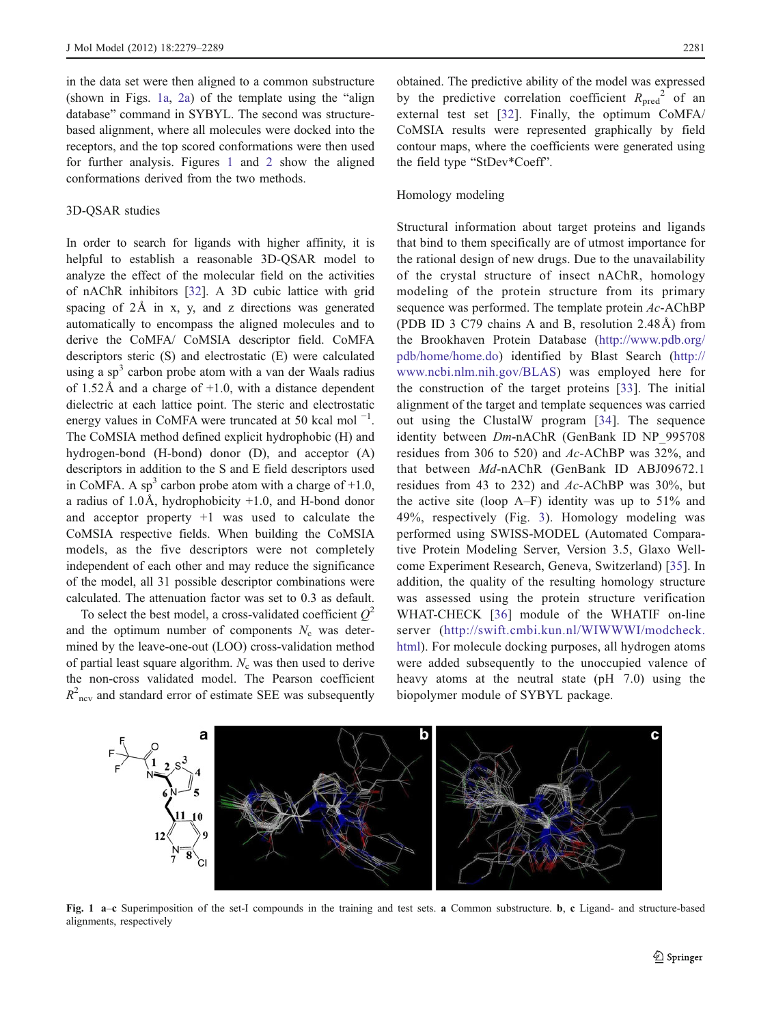in the data set were then aligned to a common substructure (shown in Figs. 1a, [2a\)](#page-3-0) of the template using the "align database" command in SYBYL. The second was structurebased alignment, where all molecules were docked into the receptors, and the top scored conformations were then used for further analysis. Figures 1 and [2](#page-3-0) show the aligned conformations derived from the two methods.

# 3D-QSAR studies

In order to search for ligands with higher affinity, it is helpful to establish a reasonable 3D-QSAR model to analyze the effect of the molecular field on the activities of nAChR inhibitors [[32\]](#page-10-0). A 3D cubic lattice with grid spacing of 2Å in x, y, and z directions was generated automatically to encompass the aligned molecules and to derive the CoMFA/ CoMSIA descriptor field. CoMFA descriptors steric (S) and electrostatic (E) were calculated using a  $sp<sup>3</sup>$  carbon probe atom with a van der Waals radius of  $1.52\text{\AA}$  and a charge of  $+1.0$ , with a distance dependent dielectric at each lattice point. The steric and electrostatic energy values in CoMFA were truncated at 50 kcal mol<sup> $-1$ </sup>. The CoMSIA method defined explicit hydrophobic (H) and hydrogen-bond (H-bond) donor (D), and acceptor (A) descriptors in addition to the S and E field descriptors used in CoMFA. A sp<sup>3</sup> carbon probe atom with a charge of  $+1.0$ , a radius of  $1.0\text{\AA}$ , hydrophobicity  $+1.0$ , and H-bond donor and acceptor property  $+1$  was used to calculate the CoMSIA respective fields. When building the CoMSIA models, as the five descriptors were not completely independent of each other and may reduce the significance of the model, all 31 possible descriptor combinations were calculated. The attenuation factor was set to 0.3 as default.

To select the best model, a cross-validated coefficient  $Q^2$ and the optimum number of components  $N_c$  was determined by the leave-one-out (LOO) cross-validation method of partial least square algorithm.  $N_c$  was then used to derive the non-cross validated model. The Pearson coefficient  $R<sup>2</sup>$ <sub>ncv</sub> and standard error of estimate SEE was subsequently

obtained. The predictive ability of the model was expressed by the predictive correlation coefficient  $R_{\text{pred}}^2$  of an external test set [[32](#page-10-0)]. Finally, the optimum CoMFA/ CoMSIA results were represented graphically by field contour maps, where the coefficients were generated using the field type "StDev\*Coeff".

#### Homology modeling

Structural information about target proteins and ligands that bind to them specifically are of utmost importance for the rational design of new drugs. Due to the unavailability of the crystal structure of insect nAChR, homology modeling of the protein structure from its primary sequence was performed. The template protein Ac-AChBP (PDB ID 3 C79 chains A and B, resolution 2.48Å) from the Brookhaven Protein Database [\(http://www.pdb.org/](http://www.pdb.org/pdb/home/home.do) [pdb/home/home.do\)](http://www.pdb.org/pdb/home/home.do) identified by Blast Search ([http://](http://www.ncbi.nlm.nih.gov/BLAS) [www.ncbi.nlm.nih.gov/BLAS\)](http://www.ncbi.nlm.nih.gov/BLAS) was employed here for the construction of the target proteins [[33\]](#page-10-0). The initial alignment of the target and template sequences was carried out using the ClustalW program [[34](#page-10-0)]. The sequence identity between Dm-nAChR (GenBank ID NP\_995708 residues from 306 to 520) and Ac-AChBP was 32%, and that between Md-nAChR (GenBank ID ABJ09672.1 residues from 43 to 232) and Ac-AChBP was 30%, but the active site (loop  $A-F$ ) identity was up to 51% and 49%, respectively (Fig. [3\)](#page-3-0). Homology modeling was performed using SWISS-MODEL (Automated Comparative Protein Modeling Server, Version 3.5, Glaxo Wellcome Experiment Research, Geneva, Switzerland) [[35](#page-10-0)]. In addition, the quality of the resulting homology structure was assessed using the protein structure verification WHAT-CHECK [[36\]](#page-10-0) module of the WHATIF on-line server [\(http://swift.cmbi.kun.nl/WIWWWI/modcheck.](http://swift.cmbi.kun.nl/WIWWWI/modcheck.html) [html\).](http://swift.cmbi.kun.nl/WIWWWI/modcheck.html) For molecule docking purposes, all hydrogen atoms were added subsequently to the unoccupied valence of heavy atoms at the neutral state (pH 7.0) using the biopolymer module of SYBYL package.



Fig. 1 a–c Superimposition of the set-I compounds in the training and test sets. a Common substructure. b, c Ligand- and structure-based alignments, respectively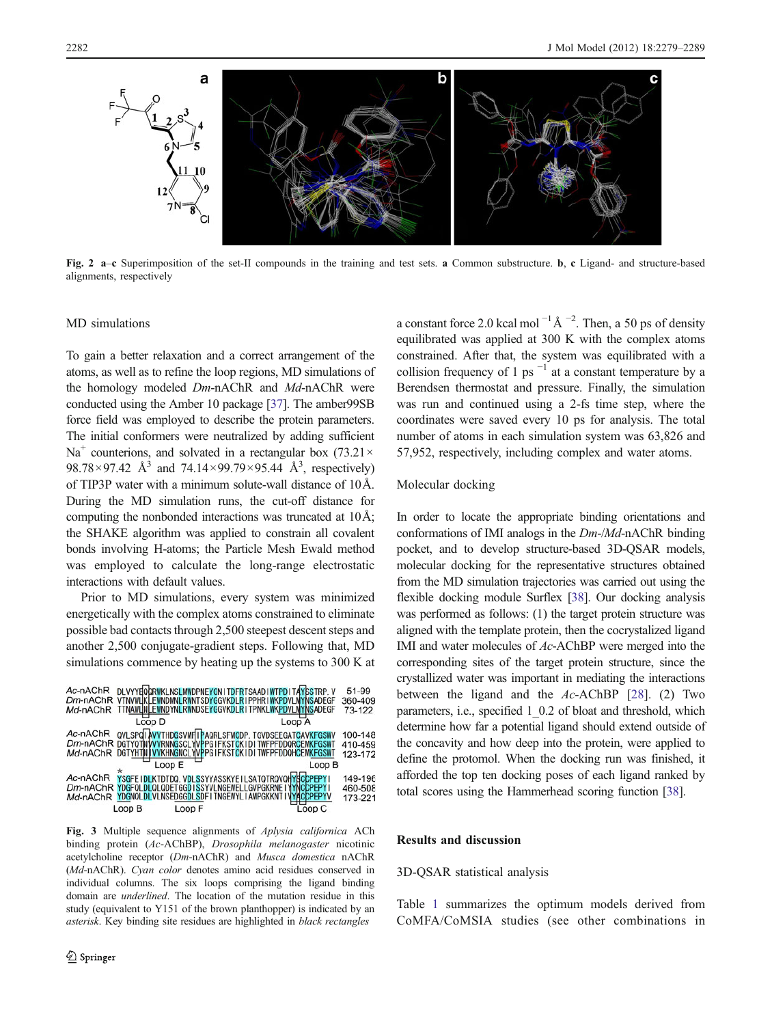<span id="page-3-0"></span>

Fig. 2 a–c Superimposition of the set-II compounds in the training and test sets. a Common substructure. b, c Ligand- and structure-based alignments, respectively

## MD simulations

To gain a better relaxation and a correct arrangement of the atoms, as well as to refine the loop regions, MD simulations of the homology modeled Dm-nAChR and Md-nAChR were conducted using the Amber 10 package [[37](#page-10-0)]. The amber99SB force field was employed to describe the protein parameters. The initial conformers were neutralized by adding sufficient  $Na<sup>+</sup>$  counterions, and solvated in a rectangular box (73.21 $\times$ 98.78 × 97.42 Å<sup>3</sup> and 74.14 × 99.79 × 95.44 Å<sup>3</sup>, respectively) of TIP3P water with a minimum solute-wall distance of 10Å. During the MD simulation runs, the cut-off distance for computing the nonbonded interactions was truncated at 10Å; the SHAKE algorithm was applied to constrain all covalent bonds involving H-atoms; the Particle Mesh Ewald method was employed to calculate the long-range electrostatic interactions with default values.

Prior to MD simulations, every system was minimized energetically with the complex atoms constrained to eliminate possible bad contacts through 2,500 steepest descent steps and another 2,500 conjugate-gradient steps. Following that, MD simulations commence by heating up the systems to 300 K at



Fig. 3 Multiple sequence alignments of Aplysia californica ACh binding protein (Ac-AChBP), Drosophila melanogaster nicotinic acetylcholine receptor (Dm-nAChR) and Musca domestica nAChR (Md-nAChR). Cyan color denotes amino acid residues conserved in individual columns. The six loops comprising the ligand binding domain are underlined. The location of the mutation residue in this study (equivalent to Y151 of the brown planthopper) is indicated by an asterisk. Key binding site residues are highlighted in black rectangles

a constant force 2.0 kcal mol<sup> $-1$ </sup>Å $-2$ . Then, a 50 ps of density equilibrated was applied at 300 K with the complex atoms constrained. After that, the system was equilibrated with a collision frequency of 1 ps<sup> $-1$ </sup> at a constant temperature by a Berendsen thermostat and pressure. Finally, the simulation was run and continued using a 2-fs time step, where the coordinates were saved every 10 ps for analysis. The total number of atoms in each simulation system was 63,826 and 57,952, respectively, including complex and water atoms.

## Molecular docking

In order to locate the appropriate binding orientations and conformations of IMI analogs in the Dm-/Md-nAChR binding pocket, and to develop structure-based 3D-QSAR models, molecular docking for the representative structures obtained from the MD simulation trajectories was carried out using the flexible docking module Surflex [\[38\]](#page-10-0). Our docking analysis was performed as follows: (1) the target protein structure was aligned with the template protein, then the cocrystalized ligand IMI and water molecules of Ac-AChBP were merged into the corresponding sites of the target protein structure, since the crystallized water was important in mediating the interactions between the ligand and the  $Ac$ -AChBP [\[28](#page-10-0)]. (2) Two parameters, i.e., specified 1\_0.2 of bloat and threshold, which determine how far a potential ligand should extend outside of the concavity and how deep into the protein, were applied to define the protomol. When the docking run was finished, it afforded the top ten docking poses of each ligand ranked by total scores using the Hammerhead scoring function [\[38](#page-10-0)].

## Results and discussion

# 3D-QSAR statistical analysis

Table [1](#page-4-0) summarizes the optimum models derived from CoMFA/CoMSIA studies (see other combinations in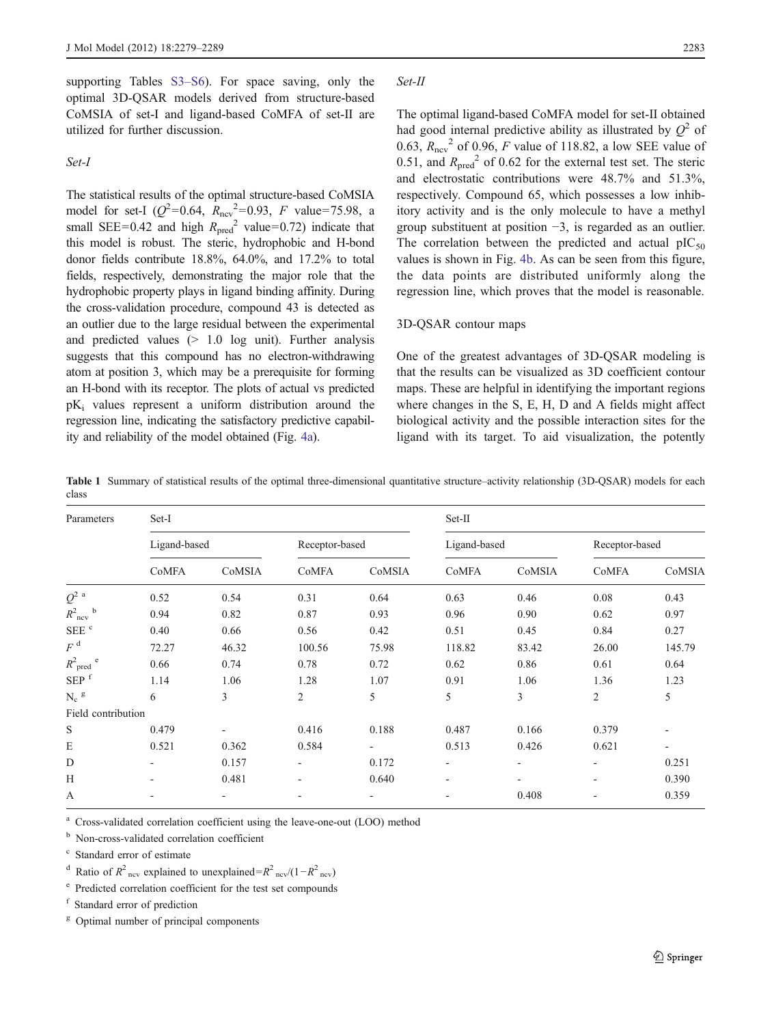<span id="page-4-0"></span>supporting Tables S3–S6). For space saving, only the optimal 3D-QSAR models derived from structure-based CoMSIA of set-I and ligand-based CoMFA of set-II are utilized for further discussion.

Set-I

The statistical results of the optimal structure-based CoMSIA model for set-I ( $Q^2$ =0.64,  $R_{\text{ncv}}^2$ =0.93, *F* value=75.98, a small SEE=0.42 and high  $R_{pred}^2$  value=0.72) indicate that this model is robust. The steric, hydrophobic and H-bond donor fields contribute 18.8%, 64.0%, and 17.2% to total fields, respectively, demonstrating the major role that the hydrophobic property plays in ligand binding affinity. During the cross-validation procedure, compound 43 is detected as an outlier due to the large residual between the experimental and predicted values  $(> 1.0$  log unit). Further analysis suggests that this compound has no electron-withdrawing atom at position 3, which may be a prerequisite for forming an H-bond with its receptor. The plots of actual vs predicted  $pK_i$  values represent a uniform distribution around the regression line, indicating the satisfactory predictive capability and reliability of the model obtained (Fig. [4a](#page-5-0)).

#### Set-II

The optimal ligand-based CoMFA model for set-II obtained had good internal predictive ability as illustrated by  $Q^2$  of 0.63,  $R_{\text{ncv}}^2$  of 0.96, F value of 118.82, a low SEE value of 0.51, and  $R_{\text{pred}}^2$  of 0.62 for the external test set. The steric and electrostatic contributions were 48.7% and 51.3%, respectively. Compound 65, which possesses a low inhibitory activity and is the only molecule to have a methyl group substituent at position −3, is regarded as an outlier. The correlation between the predicted and actual  $pIC_{50}$ values is shown in Fig. [4b](#page-5-0). As can be seen from this figure, the data points are distributed uniformly along the regression line, which proves that the model is reasonable.

# 3D-QSAR contour maps

One of the greatest advantages of 3D-QSAR modeling is that the results can be visualized as 3D coefficient contour maps. These are helpful in identifying the important regions where changes in the S, E, H, D and A fields might affect biological activity and the possible interaction sites for the ligand with its target. To aid visualization, the potently

Table 1 Summary of statistical results of the optimal three-dimensional quantitative structure–activity relationship (3D-QSAR) models for each class

| Parameters                 | Set-I                    |                          |                |        | Set-II       |                          |                          |                   |
|----------------------------|--------------------------|--------------------------|----------------|--------|--------------|--------------------------|--------------------------|-------------------|
|                            | Ligand-based             |                          | Receptor-based |        | Ligand-based |                          | Receptor-based           |                   |
|                            | CoMFA                    | CoMSIA                   | CoMFA          | CoMSIA | CoMFA        | CoMSIA                   | CoMFA                    | CoMSIA            |
| $Q^2$ <sup>a</sup>         | 0.52                     | 0.54                     | 0.31           | 0.64   | 0.63         | 0.46                     | 0.08                     | 0.43              |
| $R^2_{\text{ncv}}$<br>b    | 0.94                     | 0.82                     | 0.87           | 0.93   | 0.96         | 0.90                     | 0.62                     | 0.97              |
| SEE <sup>c</sup>           | 0.40                     | 0.66                     | 0.56           | 0.42   | 0.51         | 0.45                     | 0.84                     | 0.27              |
| $F^{\mathrm{d}}$           | 72.27                    | 46.32                    | 100.56         | 75.98  | 118.82       | 83.42                    | 26.00                    | 145.79            |
| $R^2$ <sub>pred</sub><br>e | 0.66                     | 0.74                     | 0.78           | 0.72   | 0.62         | 0.86                     | 0.61                     | 0.64              |
| SEP <sup>f</sup>           | 1.14                     | 1.06                     | 1.28           | 1.07   | 0.91         | 1.06                     | 1.36                     | 1.23              |
| $N_c$ g                    | 6                        | 3                        | $\overline{2}$ | 5      | 5            | 3                        | $\overline{2}$           | 5                 |
| Field contribution         |                          |                          |                |        |              |                          |                          |                   |
| S                          | 0.479                    | ۰                        | 0.416          | 0.188  | 0.487        | 0.166                    | 0.379                    |                   |
| E                          | 0.521                    | 0.362                    | 0.584          |        | 0.513        | 0.426                    | 0.621                    | $\qquad \qquad -$ |
| D                          |                          | 0.157                    | ٠              | 0.172  |              | $\overline{\phantom{0}}$ |                          | 0.251             |
| H                          | $\overline{\phantom{a}}$ | 0.481                    | ۰              | 0.640  | ٠            | ٠                        | $\overline{\phantom{a}}$ | 0.390             |
| A                          |                          | $\overline{\phantom{0}}$ |                | ٠      |              | 0.408                    |                          | 0.359             |

<sup>a</sup> Cross-validated correlation coefficient using the leave-one-out (LOO) method

<sup>b</sup> Non-cross-validated correlation coefficient

Standard error of estimate

<sup>d</sup> Ratio of  $R^2$ <sub>ncv</sub> explained to unexplained= $R^2$ <sub>ncv</sub>/(1- $R^2$ <sub>ncv</sub>)

<sup>e</sup> Predicted correlation coefficient for the test set compounds

<sup>f</sup> Standard error of prediction

 $g$  Optimal number of principal components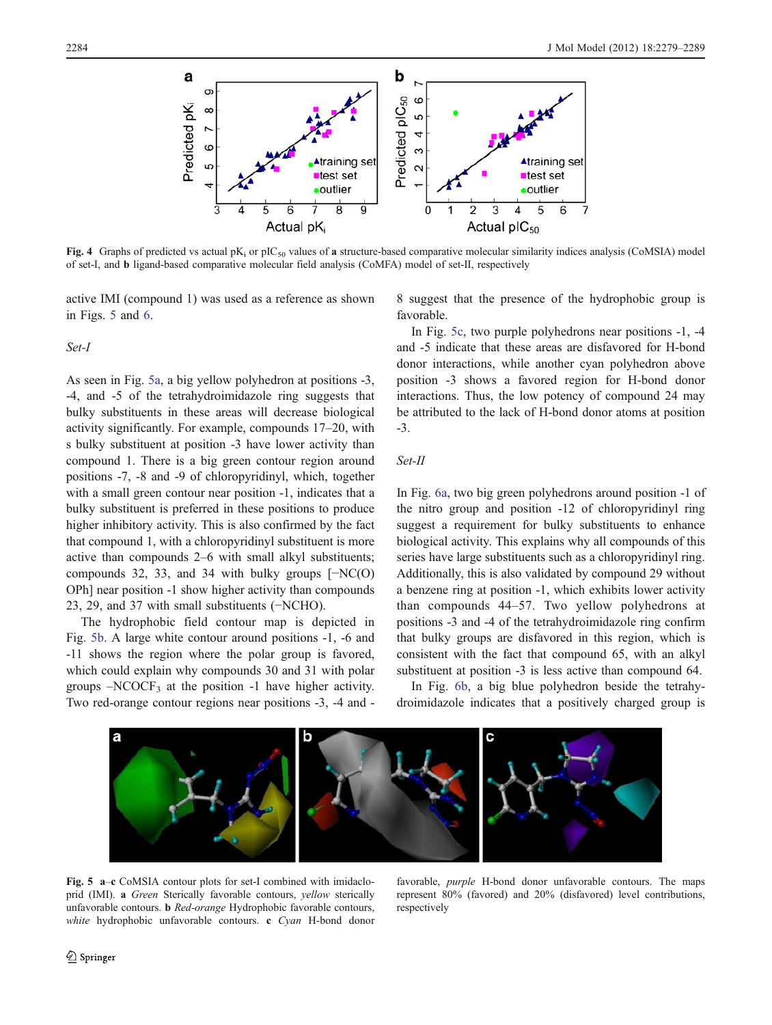<span id="page-5-0"></span>

Fig. 4 Graphs of predicted vs actual  $pK_i$  or  $pIC_{50}$  values of a structure-based comparative molecular similarity indices analysis (CoMSIA) model of set-I, and b ligand-based comparative molecular field analysis (CoMFA) model of set-II, respectively

active IMI (compound 1) was used as a reference as shown in Figs. 5 and [6.](#page-6-0)

# Set-I

As seen in Fig. 5a, a big yellow polyhedron at positions -3, -4, and -5 of the tetrahydroimidazole ring suggests that bulky substituents in these areas will decrease biological activity significantly. For example, compounds 17–20, with s bulky substituent at position -3 have lower activity than compound 1. There is a big green contour region around positions -7, -8 and -9 of chloropyridinyl, which, together with a small green contour near position -1, indicates that a bulky substituent is preferred in these positions to produce higher inhibitory activity. This is also confirmed by the fact that compound 1, with a chloropyridinyl substituent is more active than compounds 2–6 with small alkyl substituents; compounds 32, 33, and 34 with bulky groups [−NC(O) OPh] near position -1 show higher activity than compounds 23, 29, and 37 with small substituents (−NCHO).

The hydrophobic field contour map is depicted in Fig. 5b. A large white contour around positions -1, -6 and -11 shows the region where the polar group is favored, which could explain why compounds 30 and 31 with polar groups  $-NCOCF<sub>3</sub>$  at the position -1 have higher activity. Two red-orange contour regions near positions -3, -4 and -

8 suggest that the presence of the hydrophobic group is favorable.

In Fig. 5c, two purple polyhedrons near positions -1, -4 and -5 indicate that these areas are disfavored for H-bond donor interactions, while another cyan polyhedron above position -3 shows a favored region for H-bond donor interactions. Thus, the low potency of compound 24 may be attributed to the lack of H-bond donor atoms at position -3.

## Set-II

In Fig. [6a,](#page-6-0) two big green polyhedrons around position -1 of the nitro group and position -12 of chloropyridinyl ring suggest a requirement for bulky substituents to enhance biological activity. This explains why all compounds of this series have large substituents such as a chloropyridinyl ring. Additionally, this is also validated by compound 29 without a benzene ring at position -1, which exhibits lower activity than compounds 44–57. Two yellow polyhedrons at positions -3 and -4 of the tetrahydroimidazole ring confirm that bulky groups are disfavored in this region, which is consistent with the fact that compound 65, with an alkyl substituent at position  $-3$  is less active than compound 64.

In Fig. [6b,](#page-6-0) a big blue polyhedron beside the tetrahydroimidazole indicates that a positively charged group is



Fig. 5 a–c CoMSIA contour plots for set-I combined with imidacloprid (IMI). a Green Sterically favorable contours, yellow sterically unfavorable contours. b Red-orange Hydrophobic favorable contours, white hydrophobic unfavorable contours. c Cyan H-bond donor

favorable, purple H-bond donor unfavorable contours. The maps represent 80% (favored) and 20% (disfavored) level contributions, respectively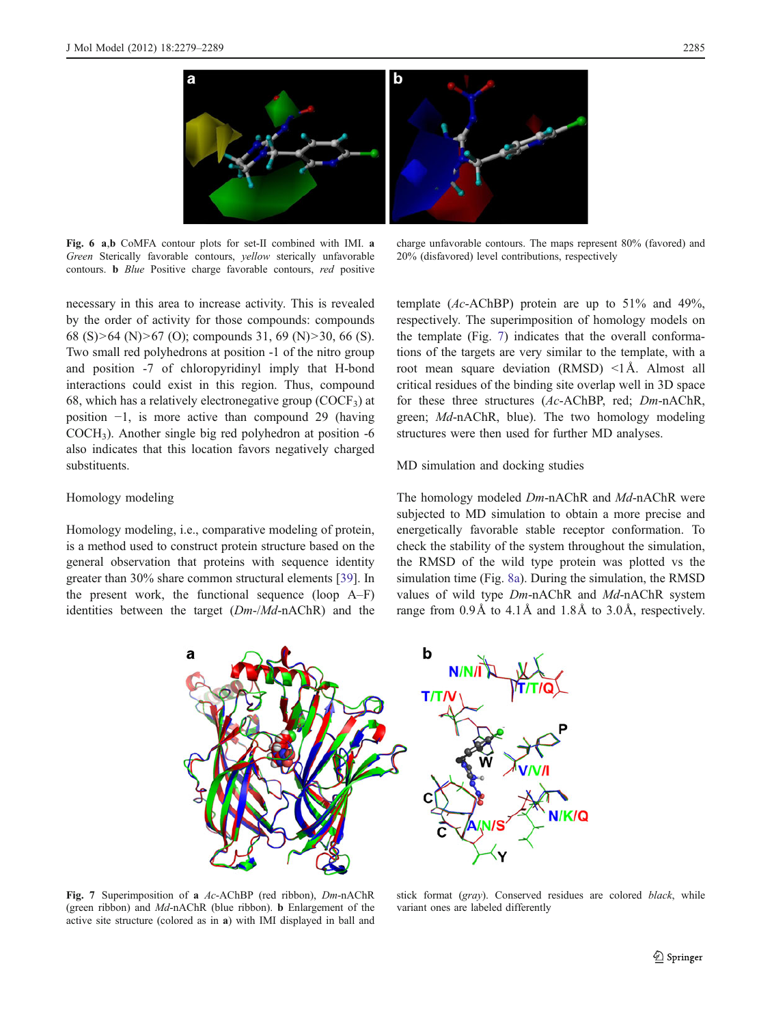<span id="page-6-0"></span>

Fig. 6 a,b CoMFA contour plots for set-II combined with IMI. a Green Sterically favorable contours, yellow sterically unfavorable contours. b Blue Positive charge favorable contours, red positive

charge unfavorable contours. The maps represent 80% (favored) and 20% (disfavored) level contributions, respectively

necessary in this area to increase activity. This is revealed by the order of activity for those compounds: compounds 68 (S)>64 (N)>67 (O); compounds 31, 69 (N)>30, 66 (S). Two small red polyhedrons at position -1 of the nitro group and position -7 of chloropyridinyl imply that H-bond interactions could exist in this region. Thus, compound 68, which has a relatively electronegative group ( $\text{COCF}_3$ ) at position −1, is more active than compound 29 (having COCH3). Another single big red polyhedron at position -6 also indicates that this location favors negatively charged substituents.

## Homology modeling

Homology modeling, i.e., comparative modeling of protein, is a method used to construct protein structure based on the general observation that proteins with sequence identity greater than 30% share common structural elements [[39\]](#page-10-0). In the present work, the functional sequence (loop A–F) identities between the target  $(Dm-/Md-nAChR)$  and the template (Ac-AChBP) protein are up to 51% and 49%, respectively. The superimposition of homology models on the template (Fig. 7) indicates that the overall conformations of the targets are very similar to the template, with a root mean square deviation  $(RMSD) < 1$ Å. Almost all critical residues of the binding site overlap well in 3D space for these three structures (Ac-AChBP, red; Dm-nAChR, green; Md-nAChR, blue). The two homology modeling structures were then used for further MD analyses.

# MD simulation and docking studies

The homology modeled Dm-nAChR and Md-nAChR were subjected to MD simulation to obtain a more precise and energetically favorable stable receptor conformation. To check the stability of the system throughout the simulation, the RMSD of the wild type protein was plotted vs the simulation time (Fig. [8a](#page-7-0)). During the simulation, the RMSD values of wild type Dm-nAChR and Md-nAChR system range from 0.9Å to 4.1Å and 1.8Å to 3.0Å, respectively.



Fig. 7 Superimposition of a Ac-AChBP (red ribbon), Dm-nAChR (green ribbon) and Md-nAChR (blue ribbon). b Enlargement of the active site structure (colored as in a) with IMI displayed in ball and

stick format (gray). Conserved residues are colored black, while variant ones are labeled differently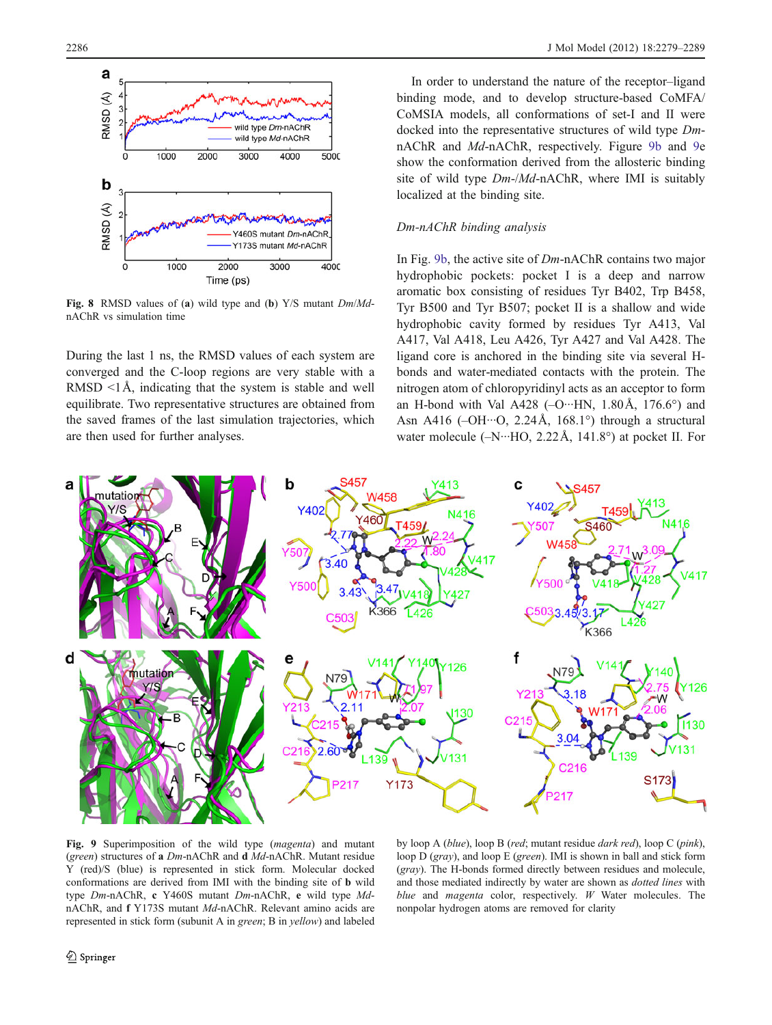<span id="page-7-0"></span>

Fig. 8 RMSD values of (a) wild type and (b) Y/S mutant  $Dm/Md$ nAChR vs simulation time

During the last 1 ns, the RMSD values of each system are converged and the C-loop regions are very stable with a RMSD  $\leq$ 1Å, indicating that the system is stable and well equilibrate. Two representative structures are obtained from the saved frames of the last simulation trajectories, which are then used for further analyses.

In order to understand the nature of the receptor–ligand binding mode, and to develop structure-based CoMFA/ CoMSIA models, all conformations of set-I and II were docked into the representative structures of wild type DmnAChR and Md-nAChR, respectively. Figure 9b and 9e show the conformation derived from the allosteric binding site of wild type Dm-/Md-nAChR, where IMI is suitably localized at the binding site.

## Dm-nAChR binding analysis

In Fig. 9b, the active site of Dm-nAChR contains two major hydrophobic pockets: pocket I is a deep and narrow aromatic box consisting of residues Tyr B402, Trp B458, Tyr B500 and Tyr B507; pocket II is a shallow and wide hydrophobic cavity formed by residues Tyr A413, Val A417, Val A418, Leu A426, Tyr A427 and Val A428. The ligand core is anchored in the binding site via several Hbonds and water-mediated contacts with the protein. The nitrogen atom of chloropyridinyl acts as an acceptor to form an H-bond with Val A428 ( $-O~··HN$ , 1.80Å, 176.6°) and Asn A416 ( $-OH \cdot O$ , 2.24Å, 168.1°) through a structural water molecule  $(-N \cdots HO, 2.22 \text{Å}, 141.8^{\circ})$  at pocket II. For



Fig. 9 Superimposition of the wild type (magenta) and mutant (green) structures of a Dm-nAChR and d Md-nAChR. Mutant residue Y (red)/S (blue) is represented in stick form. Molecular docked conformations are derived from IMI with the binding site of b wild type Dm-nAChR, c Y460S mutant Dm-nAChR, e wild type MdnAChR, and f Y173S mutant Md-nAChR. Relevant amino acids are represented in stick form (subunit A in green; B in yellow) and labeled

by loop A (blue), loop B (red; mutant residue dark red), loop C (pink), loop D (gray), and loop E (green). IMI is shown in ball and stick form (gray). The H-bonds formed directly between residues and molecule, and those mediated indirectly by water are shown as dotted lines with blue and *magenta* color, respectively. W Water molecules. The nonpolar hydrogen atoms are removed for clarity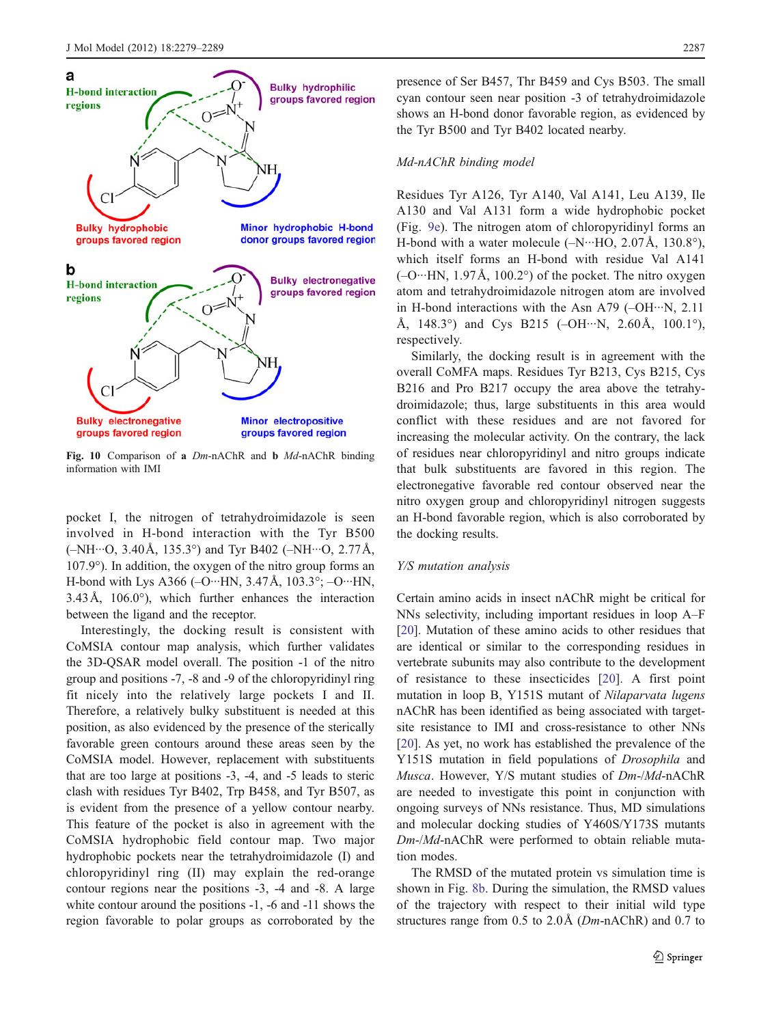<span id="page-8-0"></span>

Fig. 10 Comparison of a Dm-nAChR and b Md-nAChR binding information with IMI

pocket I, the nitrogen of tetrahydroimidazole is seen involved in H-bond interaction with the Tyr B500  $(-NH...O, 3.40\text{\AA}, 135.3^{\circ})$  and Tyr B402  $(-NH...O, 2.77\text{\AA},$ 107.9°). In addition, the oxygen of the nitro group forms an H-bond with Lys A366 ( $-O^{\cdots}HN$ , 3.47Å, 103.3°;  $-O^{\cdots}HN$ ,  $3.43\text{\AA}$ ,  $106.0^{\circ}$ ), which further enhances the interaction between the ligand and the receptor.

Interestingly, the docking result is consistent with CoMSIA contour map analysis, which further validates the 3D-QSAR model overall. The position -1 of the nitro group and positions -7, -8 and -9 of the chloropyridinyl ring fit nicely into the relatively large pockets I and II. Therefore, a relatively bulky substituent is needed at this position, as also evidenced by the presence of the sterically favorable green contours around these areas seen by the CoMSIA model. However, replacement with substituents that are too large at positions -3, -4, and -5 leads to steric clash with residues Tyr B402, Trp B458, and Tyr B507, as is evident from the presence of a yellow contour nearby. This feature of the pocket is also in agreement with the CoMSIA hydrophobic field contour map. Two major hydrophobic pockets near the tetrahydroimidazole (I) and chloropyridinyl ring (II) may explain the red-orange contour regions near the positions -3, -4 and -8. A large white contour around the positions -1, -6 and -11 shows the region favorable to polar groups as corroborated by the

presence of Ser B457, Thr B459 and Cys B503. The small cyan contour seen near position -3 of tetrahydroimidazole shows an H-bond donor favorable region, as evidenced by the Tyr B500 and Tyr B402 located nearby.

#### Md-nAChR binding model

Residues Tyr A126, Tyr A140, Val A141, Leu A139, Ile A130 and Val A131 form a wide hydrophobic pocket (Fig. [9e\)](#page-7-0). The nitrogen atom of chloropyridinyl forms an H-bond with a water molecule  $(-N \cdots HO, 2.07 \text{Å}, 130.8^{\circ})$ , which itself forms an H-bond with residue Val A141  $(-O^{\ldots}HN, 1.97\text{\AA}, 100.2^{\circ})$  of the pocket. The nitro oxygen atom and tetrahydroimidazole nitrogen atom are involved in H-bond interactions with the Asn A79 (–OH···N, 2.11 Å, 148.3 $^{\circ}$ ) and Cys B215 (–OH…N, 2.60Å, 100.1 $^{\circ}$ ), respectively.

Similarly, the docking result is in agreement with the overall CoMFA maps. Residues Tyr B213, Cys B215, Cys B216 and Pro B217 occupy the area above the tetrahydroimidazole; thus, large substituents in this area would conflict with these residues and are not favored for increasing the molecular activity. On the contrary, the lack of residues near chloropyridinyl and nitro groups indicate that bulk substituents are favored in this region. The electronegative favorable red contour observed near the nitro oxygen group and chloropyridinyl nitrogen suggests an H-bond favorable region, which is also corroborated by the docking results.

#### Y/S mutation analysis

Certain amino acids in insect nAChR might be critical for NNs selectivity, including important residues in loop A–F [\[20](#page-10-0)]. Mutation of these amino acids to other residues that are identical or similar to the corresponding residues in vertebrate subunits may also contribute to the development of resistance to these insecticides [[20](#page-10-0)]. A first point mutation in loop B, Y151S mutant of Nilaparvata lugens nAChR has been identified as being associated with targetsite resistance to IMI and cross-resistance to other NNs [\[20](#page-10-0)]. As yet, no work has established the prevalence of the Y151S mutation in field populations of Drosophila and Musca. However, Y/S mutant studies of Dm-/Md-nAChR are needed to investigate this point in conjunction with ongoing surveys of NNs resistance. Thus, MD simulations and molecular docking studies of Y460S/Y173S mutants Dm-/Md-nAChR were performed to obtain reliable mutation modes.

The RMSD of the mutated protein vs simulation time is shown in Fig. [8b](#page-7-0). During the simulation, the RMSD values of the trajectory with respect to their initial wild type structures range from 0.5 to 2.0Å (Dm-nAChR) and 0.7 to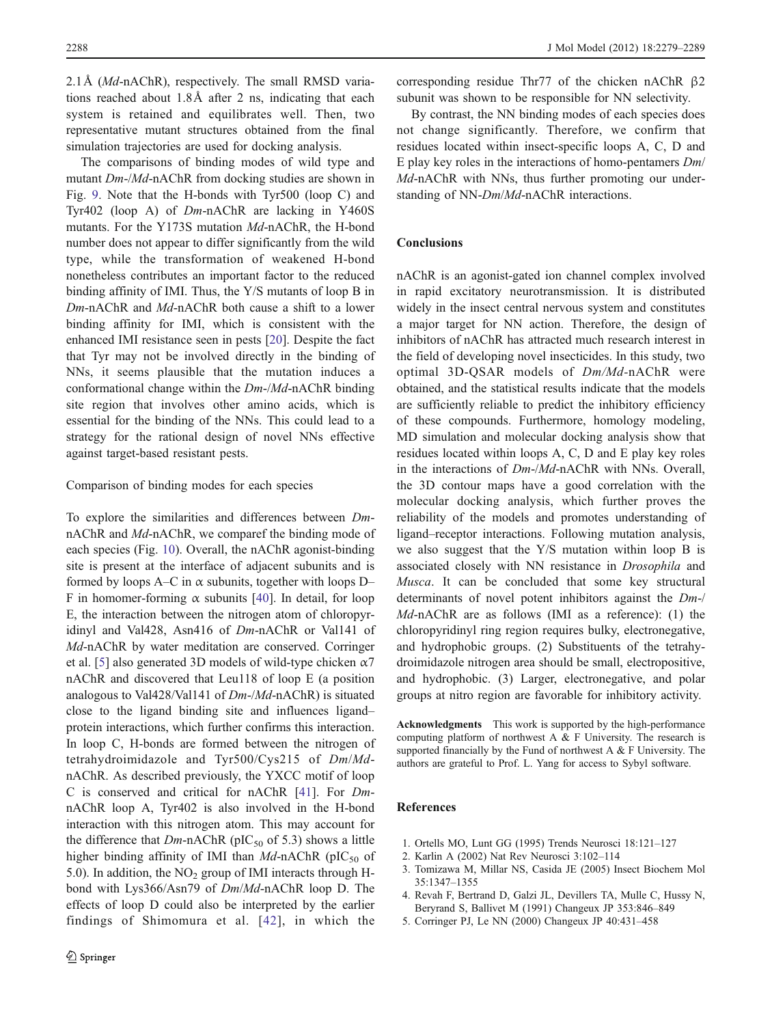<span id="page-9-0"></span>2.1Å (Md-nAChR), respectively. The small RMSD variations reached about 1.8Å after 2 ns, indicating that each system is retained and equilibrates well. Then, two representative mutant structures obtained from the final simulation trajectories are used for docking analysis.

The comparisons of binding modes of wild type and mutant Dm-/Md-nAChR from docking studies are shown in Fig. [9](#page-7-0). Note that the H-bonds with Tyr500 (loop C) and Tyr402 (loop A) of Dm-nAChR are lacking in Y460S mutants. For the Y173S mutation Md-nAChR, the H-bond number does not appear to differ significantly from the wild type, while the transformation of weakened H-bond nonetheless contributes an important factor to the reduced binding affinity of IMI. Thus, the Y/S mutants of loop B in Dm-nAChR and Md-nAChR both cause a shift to a lower binding affinity for IMI, which is consistent with the enhanced IMI resistance seen in pests [[20\]](#page-10-0). Despite the fact that Tyr may not be involved directly in the binding of NNs, it seems plausible that the mutation induces a conformational change within the Dm-/Md-nAChR binding site region that involves other amino acids, which is essential for the binding of the NNs. This could lead to a strategy for the rational design of novel NNs effective against target-based resistant pests.

# Comparison of binding modes for each species

To explore the similarities and differences between DmnAChR and Md-nAChR, we comparef the binding mode of each species (Fig. [10](#page-8-0)). Overall, the nAChR agonist-binding site is present at the interface of adjacent subunits and is formed by loops A–C in  $\alpha$  subunits, together with loops D– F in homomer-forming  $\alpha$  subunits [[40\]](#page-10-0). In detail, for loop E, the interaction between the nitrogen atom of chloropyridinyl and Val428, Asn416 of Dm-nAChR or Val141 of Md-nAChR by water meditation are conserved. Corringer et al. [5] also generated 3D models of wild-type chicken  $\alpha$ 7 nAChR and discovered that Leu118 of loop E (a position analogous to Val428/Val141 of Dm-/Md-nAChR) is situated close to the ligand binding site and influences ligand– protein interactions, which further confirms this interaction. In loop C, H-bonds are formed between the nitrogen of tetrahydroimidazole and Tyr500/Cys215 of Dm/MdnAChR. As described previously, the YXCC motif of loop C is conserved and critical for nAChR [[41\]](#page-10-0). For DmnAChR loop A, Tyr402 is also involved in the H-bond interaction with this nitrogen atom. This may account for the difference that  $Dm$ -nAChR (pIC<sub>50</sub> of 5.3) shows a little higher binding affinity of IMI than  $Md$ -nAChR (pIC<sub>50</sub> of 5.0). In addition, the  $NO<sub>2</sub>$  group of IMI interacts through Hbond with Lys366/Asn79 of Dm/Md-nAChR loop D. The effects of loop D could also be interpreted by the earlier findings of Shimomura et al. [[42](#page-10-0)], in which the

corresponding residue Thr77 of the chicken nAChR β2 subunit was shown to be responsible for NN selectivity.

By contrast, the NN binding modes of each species does not change significantly. Therefore, we confirm that residues located within insect-specific loops A, C, D and E play key roles in the interactions of homo-pentamers Dm/ Md-nAChR with NNs, thus further promoting our understanding of NN-Dm/Md-nAChR interactions.

# Conclusions

nAChR is an agonist-gated ion channel complex involved in rapid excitatory neurotransmission. It is distributed widely in the insect central nervous system and constitutes a major target for NN action. Therefore, the design of inhibitors of nAChR has attracted much research interest in the field of developing novel insecticides. In this study, two optimal 3D-QSAR models of Dm/Md-nAChR were obtained, and the statistical results indicate that the models are sufficiently reliable to predict the inhibitory efficiency of these compounds. Furthermore, homology modeling, MD simulation and molecular docking analysis show that residues located within loops A, C, D and E play key roles in the interactions of Dm-/Md-nAChR with NNs. Overall, the 3D contour maps have a good correlation with the molecular docking analysis, which further proves the reliability of the models and promotes understanding of ligand–receptor interactions. Following mutation analysis, we also suggest that the Y/S mutation within loop B is associated closely with NN resistance in Drosophila and Musca. It can be concluded that some key structural determinants of novel potent inhibitors against the Dm-/ Md-nAChR are as follows (IMI as a reference): (1) the chloropyridinyl ring region requires bulky, electronegative, and hydrophobic groups. (2) Substituents of the tetrahydroimidazole nitrogen area should be small, electropositive, and hydrophobic. (3) Larger, electronegative, and polar groups at nitro region are favorable for inhibitory activity.

Acknowledgments This work is supported by the high-performance computing platform of northwest A & F University. The research is supported financially by the Fund of northwest A & F University. The authors are grateful to Prof. L. Yang for access to Sybyl software.

# References

- 1. Ortells MO, Lunt GG (1995) Trends Neurosci 18:121–127
- 2. Karlin A (2002) Nat Rev Neurosci 3:102–114
- 3. Tomizawa M, Millar NS, Casida JE (2005) Insect Biochem Mol 35:1347–1355
- 4. Revah F, Bertrand D, Galzi JL, Devillers TA, Mulle C, Hussy N, Beryrand S, Ballivet M (1991) Changeux JP 353:846–849
- 5. Corringer PJ, Le NN (2000) Changeux JP 40:431–458